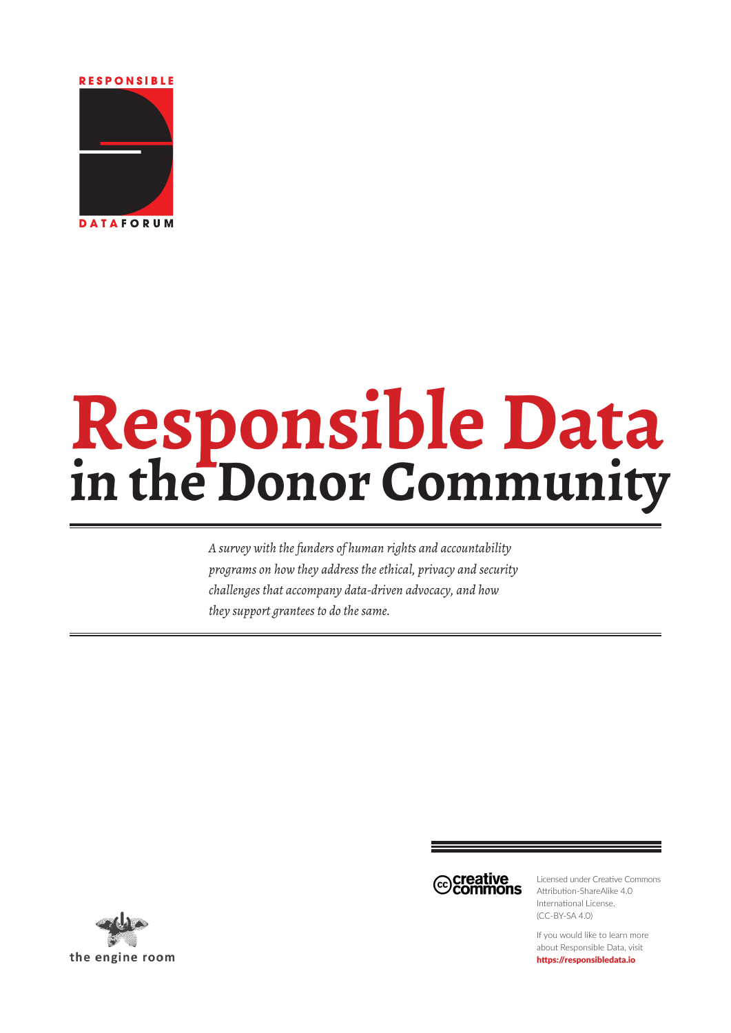**RESPONSIBLE** 



# **Responsible Data in the Donor Community**

*A survey with the funders of human rights and accountability programs on how they address the ethical, privacy and security challenges that accompany data-driven advocacy, and how they support grantees to do the same.*



Licensed under Creative Commons Attribution-ShareAlike 4.0 International License. (CC-BY-SA 4.0)

If you would like to learn more about Responsible Data, visit <https://responsibledata.io>

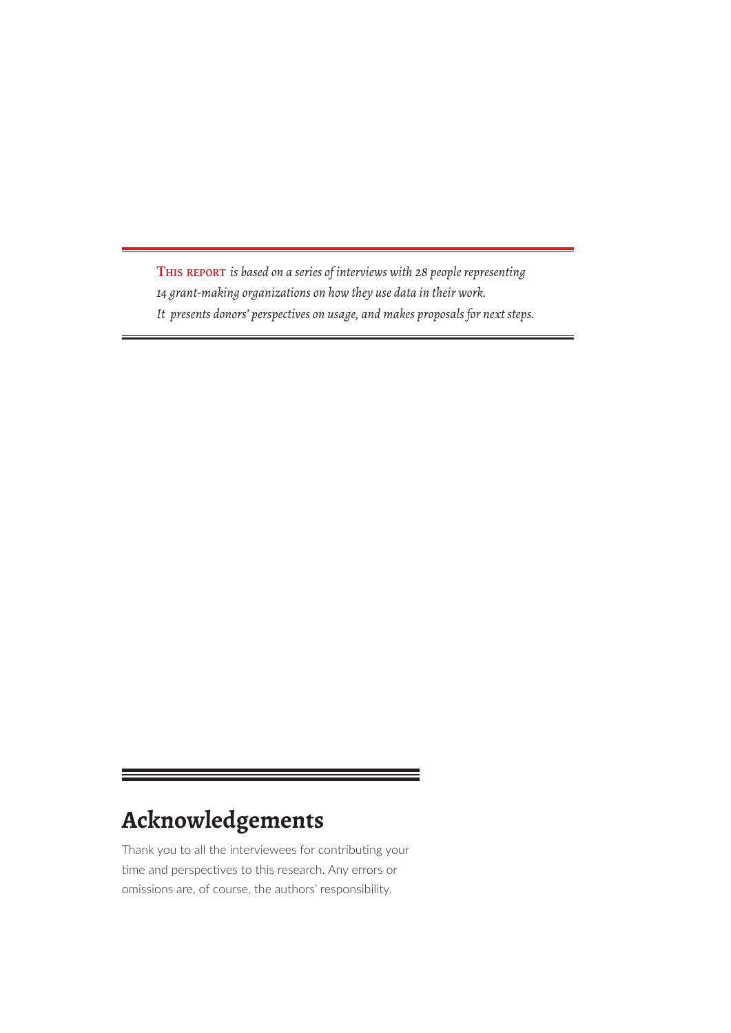<span id="page-1-0"></span>**This report** *is based on a series of interviews with 28 people representing 14 grant-making organizations on how they use data in their work. It presents donors' perspectives on usage, and makes proposals for next steps.*

## **Acknowledgements**

Thank you to all the interviewees for contributing your time and perspectives to this research. Any errors or omissions are, of course, the authors' responsibility.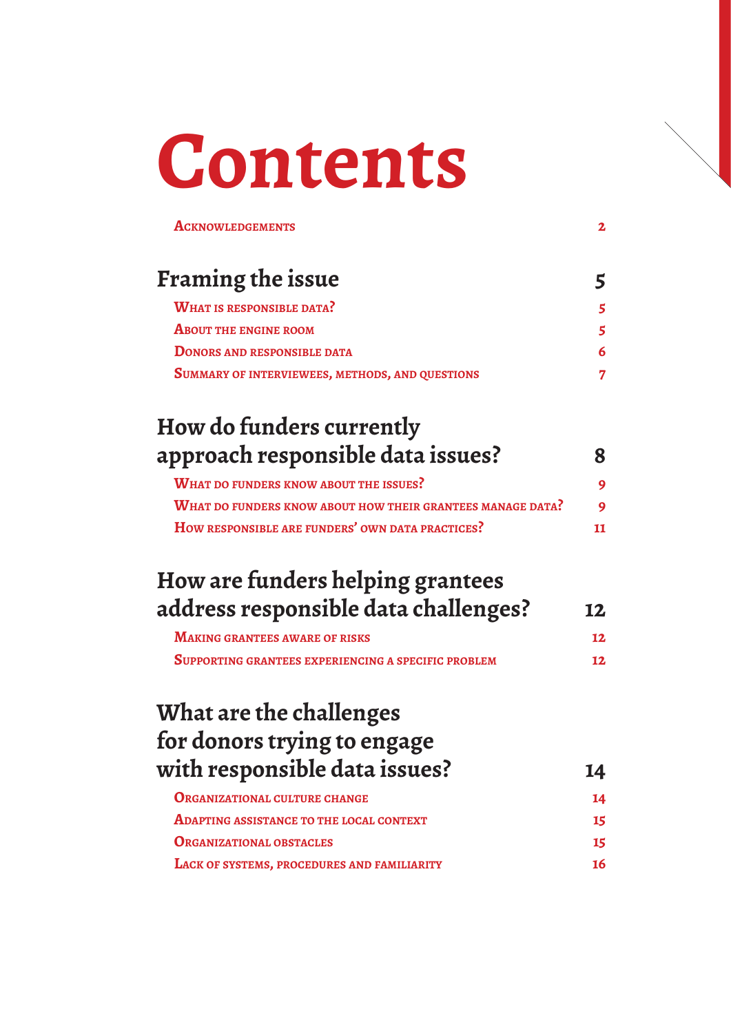# **Contents**

| <b>ACKNOWLEDGEMENTS</b>                                    | $\mathbf{z}$ |
|------------------------------------------------------------|--------------|
| Framing the issue                                          | 5            |
| <b>WHAT IS RESPONSIBLE DATA?</b>                           |              |
| <b>ABOUT THE ENGINE ROOM</b>                               |              |
| <b>DONORS AND RESPONSIBLE DATA</b>                         |              |
| SUMMARY OF INTERVIEWEES, METHODS, AND QUESTIONS            |              |
| How do funders currently                                   |              |
| approach responsible data issues?                          | 8            |
| <b>WHAT DO FUNDERS KNOW ABOUT THE ISSUES?</b>              |              |
| WHAT DO FUNDERS KNOW ABOUT HOW THEIR GRANTEES MANAGE DATA? |              |
| How RESPONSIBLE ARE FUNDERS' OWN DATA PRACTICES?           | 11           |
| How are funders helping grantees                           |              |
| address responsible data challenges?                       | 12           |
| <b>MAKING GRANTEES AWARE OF RISKS</b>                      | 12           |
| SUPPORTING GRANTEES EXPERIENCING A SPECIFIC PROBLEM        | 12           |
| What are the challenges                                    |              |
| for donors trying to engage                                |              |
| with responsible data issues?                              | 14           |
| <b>ORGANIZATIONAL CULTURE CHANGE</b>                       | 14           |
| <b>ADAPTING ASSISTANCE TO THE LOCAL CONTEXT</b>            | 15           |
| <b>ORGANIZATIONAL OBSTACLES</b>                            | 15           |
| LACK OF SYSTEMS, PROCEDURES AND FAMILIARITY                | 16           |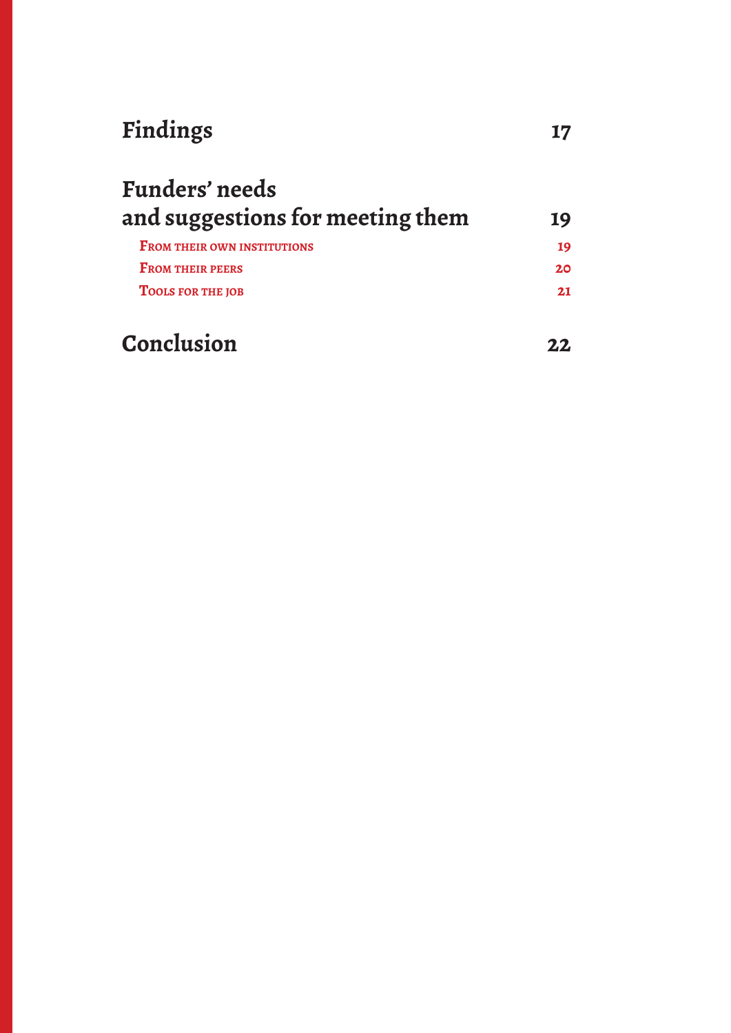## **[Findings](#page-16-0) 17**

| and suggestions for meeting them   | 19              |
|------------------------------------|-----------------|
| <b>FROM THEIR OWN INSTITUTIONS</b> | 19              |
| <b>FROM THEIR PEERS</b>            | 20 <sub>o</sub> |
| <b>TOOLS FOR THE JOB</b>           | 2.1             |
| Conclusion                         |                 |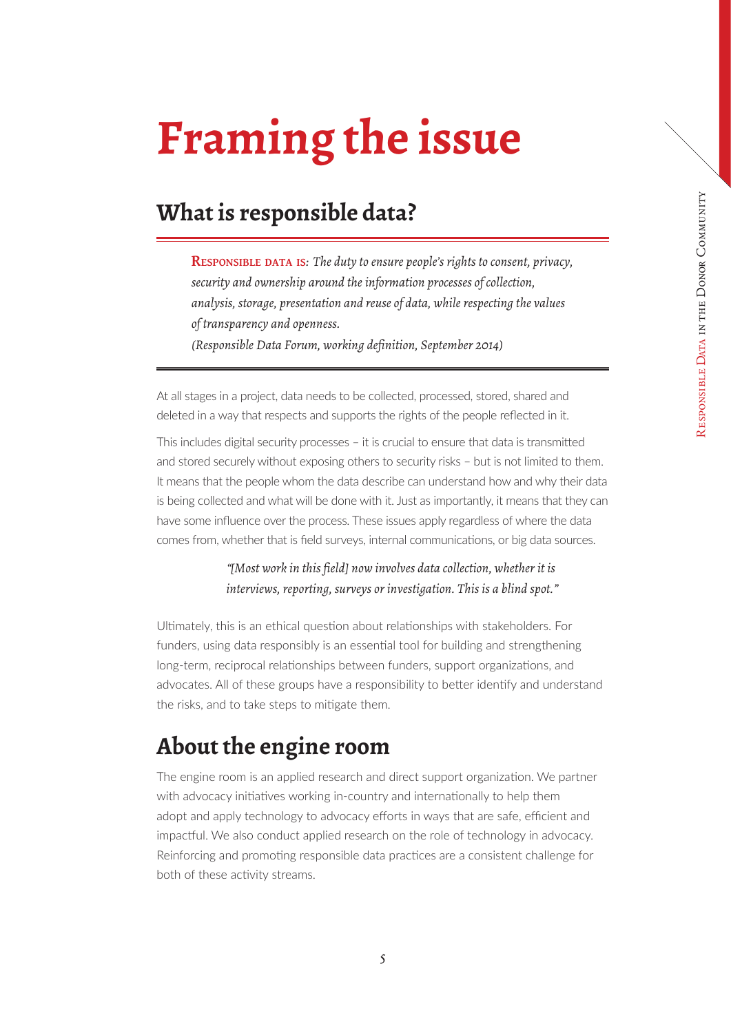## <span id="page-4-0"></span>**Framing the issue**

## **What is responsible data?**

**Responsible data is***: The duty to ensure people's rights to consent, privacy, security and ownership around the information processes of collection, analysis, storage, presentation and reuse of data, while respecting the values of transparency and openness. (Responsible Data Forum, working definition, September 2014)*

At all stages in a project, data needs to be collected, processed, stored, shared and deleted in a way that respects and supports the rights of the people reflected in it.

This includes digital security processes – it is crucial to ensure that data is transmitted and stored securely without exposing others to security risks – but is not limited to them. It means that the people whom the data describe can understand how and why their data is being collected and what will be done with it. Just as importantly, it means that they can have some influence over the process. These issues apply regardless of where the data comes from, whether that is field surveys, internal communications, or big data sources.

#### *"[Most work in this field] now involves data collection, whether it is interviews, reporting, surveys or investigation. This is a blind spot."*

Ultimately, this is an ethical question about relationships with stakeholders. For funders, using data responsibly is an essential tool for building and strengthening long-term, reciprocal relationships between funders, support organizations, and advocates. All of these groups have a responsibility to better identify and understand the risks, and to take steps to mitigate them.

### **About the engine room**

The engine room is an applied research and direct support organization. We partner with advocacy initiatives working in-country and internationally to help them adopt and apply technology to advocacy efforts in ways that are safe, efficient and impactful. We also conduct applied research on the role of technology in advocacy. Reinforcing and promoting responsible data practices are a consistent challenge for both of these activity streams.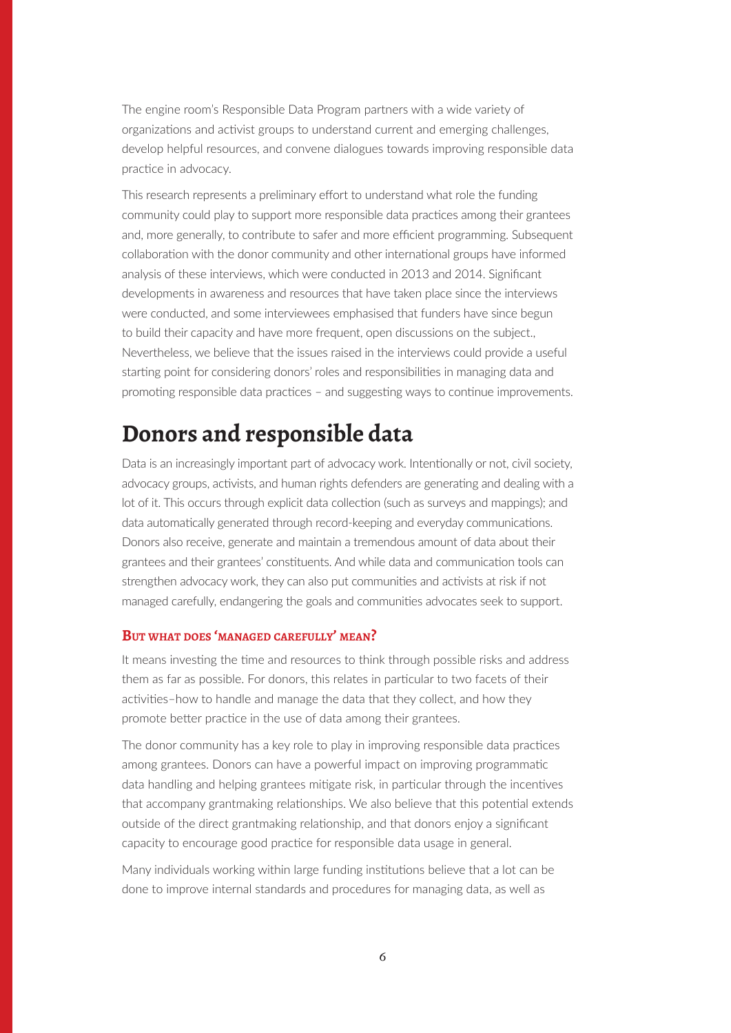<span id="page-5-0"></span>The engine room's Responsible Data Program partners with a wide variety of organizations and activist groups to understand current and emerging challenges, develop helpful resources, and convene dialogues towards improving responsible data practice in advocacy.

This research represents a preliminary effort to understand what role the funding community could play to support more responsible data practices among their grantees and, more generally, to contribute to safer and more efficient programming. Subsequent collaboration with the donor community and other international groups have informed analysis of these interviews, which were conducted in 2013 and 2014. Significant developments in awareness and resources that have taken place since the interviews were conducted, and some interviewees emphasised that funders have since begun to build their capacity and have more frequent, open discussions on the subject., Nevertheless, we believe that the issues raised in the interviews could provide a useful starting point for considering donors' roles and responsibilities in managing data and promoting responsible data practices – and suggesting ways to continue improvements.

### **Donors and responsible data**

Data is an increasingly important part of advocacy work. Intentionally or not, civil society, advocacy groups, activists, and human rights defenders are generating and dealing with a lot of it. This occurs through explicit data collection (such as surveys and mappings); and data automatically generated through record-keeping and everyday communications. Donors also receive, generate and maintain a tremendous amount of data about their grantees and their grantees' constituents. And while data and communication tools can strengthen advocacy work, they can also put communities and activists at risk if not managed carefully, endangering the goals and communities advocates seek to support.

#### **But what does 'managed carefully' mean?**

It means investing the time and resources to think through possible risks and address them as far as possible. For donors, this relates in particular to two facets of their activities–how to handle and manage the data that they collect, and how they promote better practice in the use of data among their grantees.

The donor community has a key role to play in improving responsible data practices among grantees. Donors can have a powerful impact on improving programmatic data handling and helping grantees mitigate risk, in particular through the incentives that accompany grantmaking relationships. We also believe that this potential extends outside of the direct grantmaking relationship, and that donors enjoy a significant capacity to encourage good practice for responsible data usage in general.

Many individuals working within large funding institutions believe that a lot can be done to improve internal standards and procedures for managing data, as well as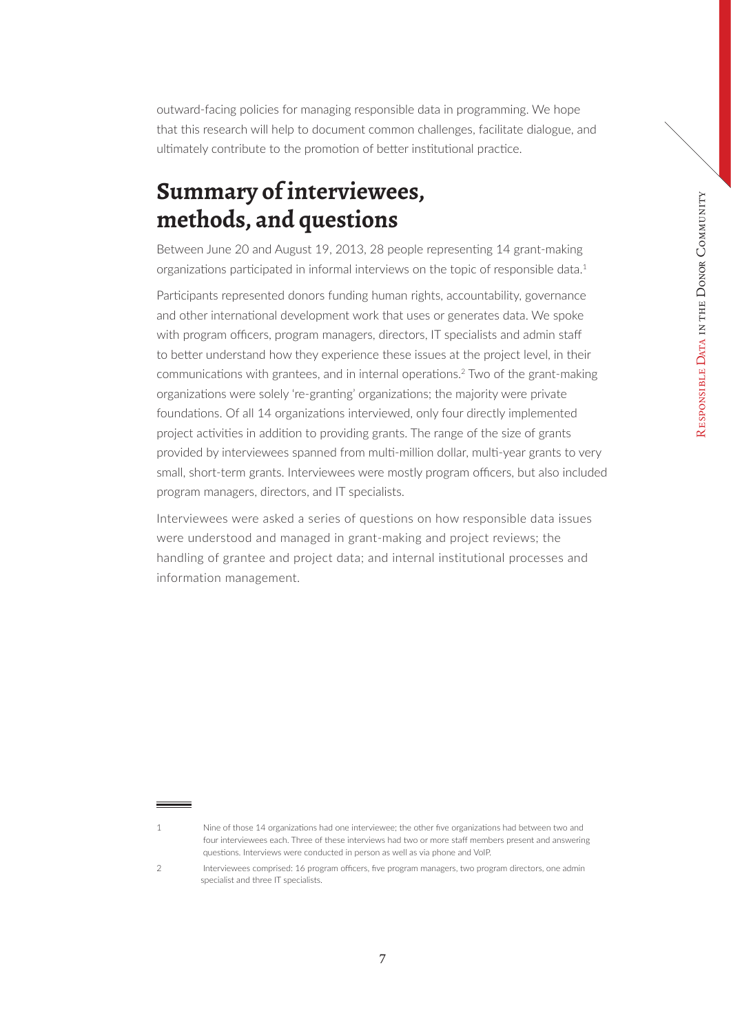<span id="page-6-0"></span>outward-facing policies for managing responsible data in programming. We hope that this research will help to document common challenges, facilitate dialogue, and ultimately contribute to the promotion of better institutional practice.

## **Summary of interviewees, methods, and questions**

Between June 20 and August 19, 2013, 28 people representing 14 grant-making organizations participated in informal interviews on the topic of responsible data.1

Participants represented donors funding human rights, accountability, governance and other international development work that uses or generates data. We spoke with program officers, program managers, directors, IT specialists and admin staff to better understand how they experience these issues at the project level, in their communications with grantees, and in internal operations.2 Two of the grant-making organizations were solely 're-granting' organizations; the majority were private foundations. Of all 14 organizations interviewed, only four directly implemented project activities in addition to providing grants. The range of the size of grants provided by interviewees spanned from multi-million dollar, multi-year grants to very small, short-term grants. Interviewees were mostly program officers, but also included program managers, directors, and IT specialists.

Interviewees were asked a series of questions on how responsible data issues were understood and managed in grant-making and project reviews; the handling of grantee and project data; and internal institutional processes and information management.

<sup>1</sup> Nine of those 14 organizations had one interviewee; the other five organizations had between two and four interviewees each. Three of these interviews had two or more staff members present and answering questions. Interviews were conducted in person as well as via phone and VoIP.

<sup>2</sup> Interviewees comprised: 16 program officers, five program managers, two program directors, one admin specialist and three IT specialists.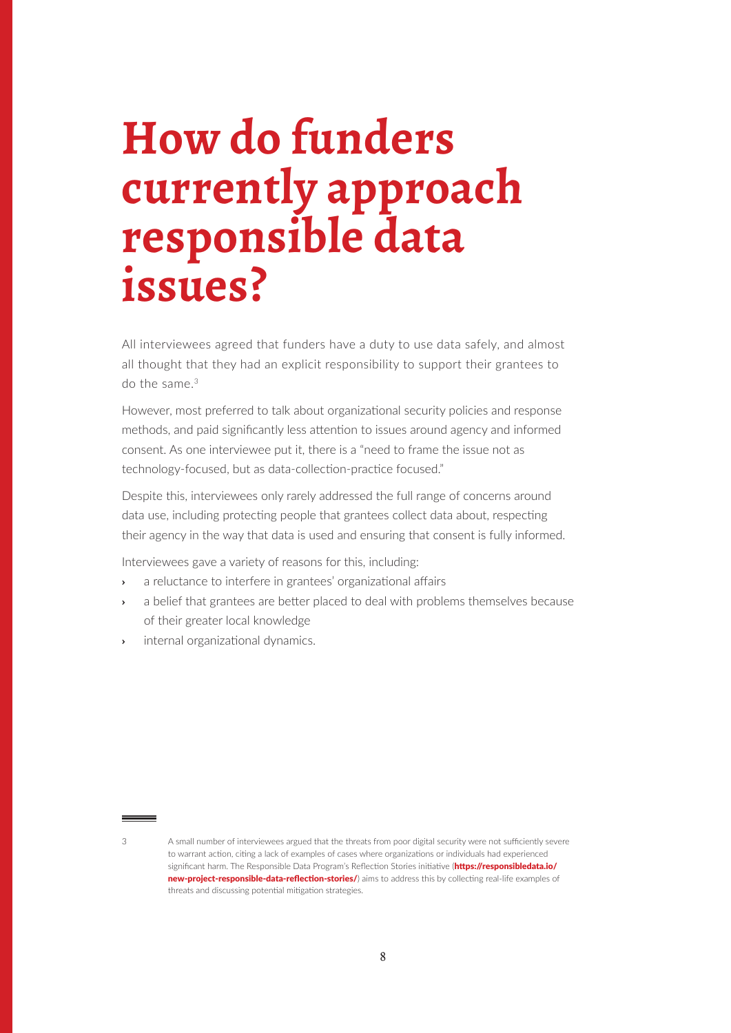## <span id="page-7-0"></span>**How do funders currently approach responsible data issues?**

All interviewees agreed that funders have a duty to use data safely, and almost all thought that they had an explicit responsibility to support their grantees to do the same  $3$ 

However, most preferred to talk about organizational security policies and response methods, and paid significantly less attention to issues around agency and informed consent. As one interviewee put it, there is a "need to frame the issue not as technology-focused, but as data-collection-practice focused."

Despite this, interviewees only rarely addressed the full range of concerns around data use, including protecting people that grantees collect data about, respecting their agency in the way that data is used and ensuring that consent is fully informed.

Interviewees gave a variety of reasons for this, including:

- **›** a reluctance to interfere in grantees' organizational affairs
- **›** a belief that grantees are better placed to deal with problems themselves because of their greater local knowledge
- **›** internal organizational dynamics.

<sup>3</sup> A small number of interviewees argued that the threats from poor digital security were not sufficiently severe to warrant action, citing a lack of examples of cases where organizations or individuals had experienced significant harm. The Responsible Data Program's Reflection Stories initiative ([https://responsibledata.io/](https://responsibledata.io/new-project-responsible-data-reflection-stories/) [new-project-responsible-data-reflection-stories/](https://responsibledata.io/new-project-responsible-data-reflection-stories/)) aims to address this by collecting real-life examples of threats and discussing potential mitigation strategies.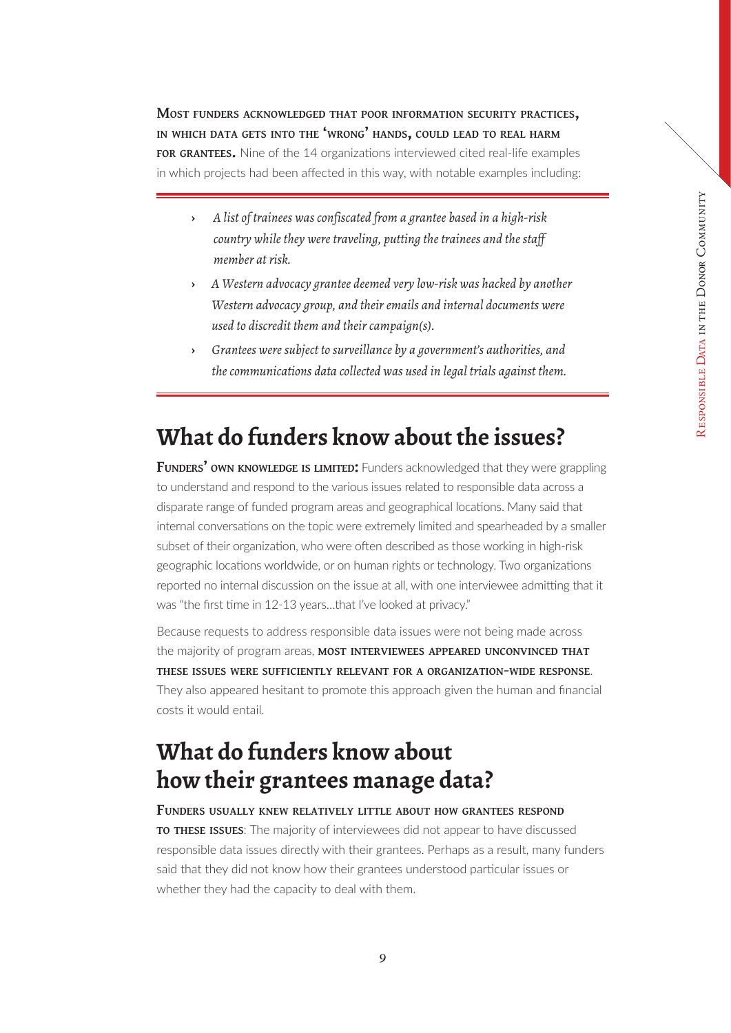<span id="page-8-0"></span>**Most funders acknowledged that poor information security practices, in which data gets into the 'wrong' hands, could lead to real harm for grantees.** Nine of the 14 organizations interviewed cited real-life examples in which projects had been affected in this way, with notable examples including:

- **›** *A list of trainees was confiscated from a grantee based in a high-risk country while they were traveling, putting the trainees and the staff member at risk.*
- **›** *A Western advocacy grantee deemed very low-risk was hacked by another Western advocacy group, and their emails and internal documents were used to discredit them and their campaign(s).*
- **›** *Grantees were subject to surveillance by a government's authorities, and the communications data collected was used in legal trials against them.*

### **What do funders know about the issues?**

**Funders' own <b>KNOWLEDGE IS LIMITED:** Funders acknowledged that they were grappling to understand and respond to the various issues related to responsible data across a disparate range of funded program areas and geographical locations. Many said that internal conversations on the topic were extremely limited and spearheaded by a smaller subset of their organization, who were often described as those working in high-risk geographic locations worldwide, or on human rights or technology. Two organizations reported no internal discussion on the issue at all, with one interviewee admitting that it was "the first time in 12-13 years…that I've looked at privacy."

Because requests to address responsible data issues were not being made across the majority of program areas, **most interviewees appeared unconvinced that these issues were sufficiently relevant for a organization-wide response**. They also appeared hesitant to promote this approach given the human and financial costs it would entail.

## **What do funders know about how their grantees manage data?**

#### **Funders usually knew relatively little about how grantees respond to these issues**: The majority of interviewees did not appear to have discussed responsible data issues directly with their grantees. Perhaps as a result, many funders said that they did not know how their grantees understood particular issues or whether they had the capacity to deal with them.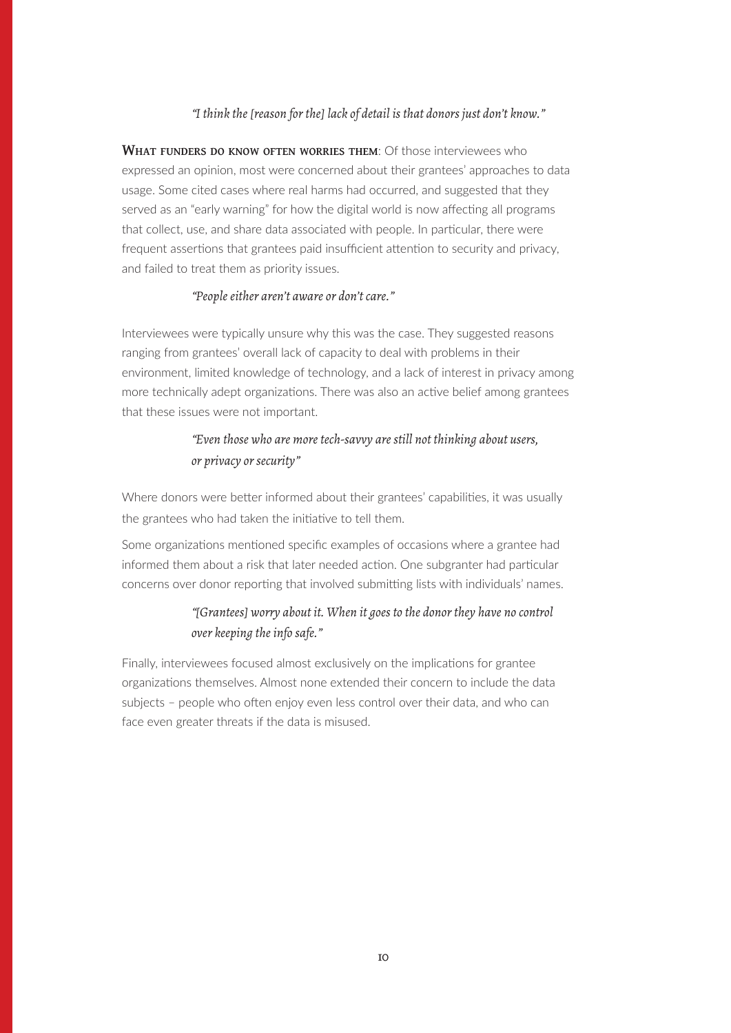#### *"I think the [reason for the] lack of detail is that donors just don't know."*

**What funders do know often worries them**: Of those interviewees who expressed an opinion, most were concerned about their grantees' approaches to data usage. Some cited cases where real harms had occurred, and suggested that they served as an "early warning" for how the digital world is now affecting all programs that collect, use, and share data associated with people. In particular, there were frequent assertions that grantees paid insufficient attention to security and privacy, and failed to treat them as priority issues.

#### *"People either aren't aware or don't care."*

Interviewees were typically unsure why this was the case. They suggested reasons ranging from grantees' overall lack of capacity to deal with problems in their environment, limited knowledge of technology, and a lack of interest in privacy among more technically adept organizations. There was also an active belief among grantees that these issues were not important.

#### *"Even those who are more tech-savvy are still not thinking about users, or privacy or security"*

Where donors were better informed about their grantees' capabilities, it was usually the grantees who had taken the initiative to tell them.

Some organizations mentioned specific examples of occasions where a grantee had informed them about a risk that later needed action. One subgranter had particular concerns over donor reporting that involved submitting lists with individuals' names.

#### *"[Grantees] worry about it. When it goes to the donor they have no control over keeping the info safe."*

Finally, interviewees focused almost exclusively on the implications for grantee organizations themselves. Almost none extended their concern to include the data subjects – people who often enjoy even less control over their data, and who can face even greater threats if the data is misused.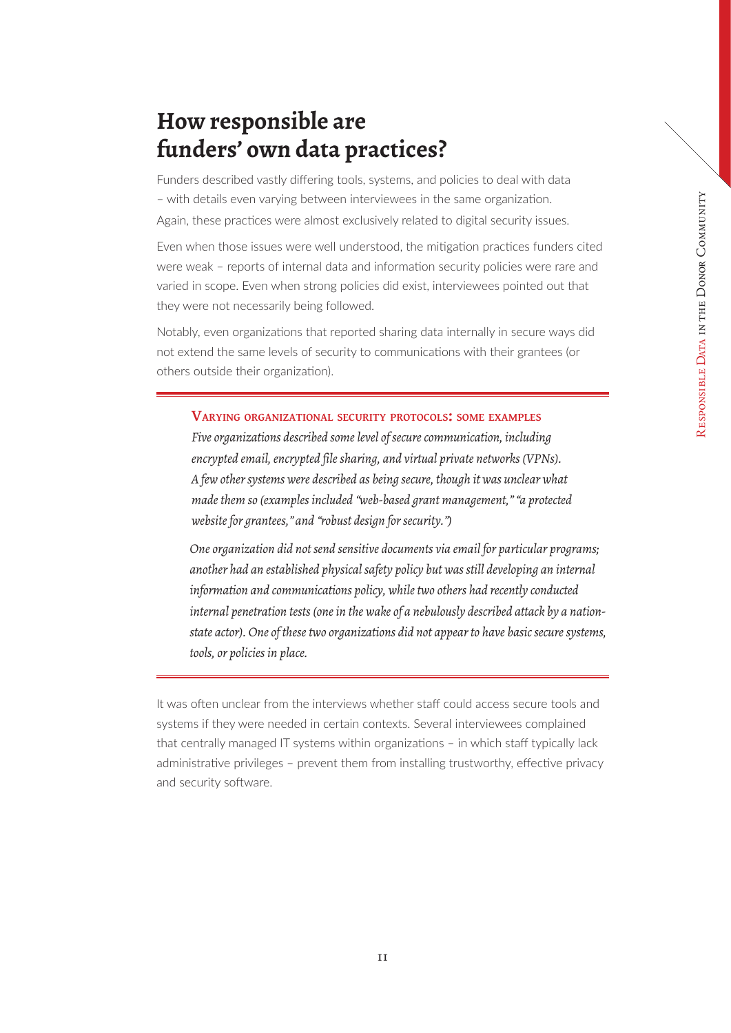## <span id="page-10-0"></span>**How responsible are funders' own data practices?**

Funders described vastly differing tools, systems, and policies to deal with data – with details even varying between interviewees in the same organization. Again, these practices were almost exclusively related to digital security issues.

Even when those issues were well understood, the mitigation practices funders cited were weak – reports of internal data and information security policies were rare and varied in scope. Even when strong policies did exist, interviewees pointed out that they were not necessarily being followed.

Notably, even organizations that reported sharing data internally in secure ways did not extend the same levels of security to communications with their grantees (or others outside their organization).

#### **Varying organizational security protocols: some examples**

*Five organizations described some level of secure communication, including encrypted email, encrypted file sharing, and virtual private networks (VPNs). A few other systems were described as being secure, though it was unclear what made them so (examples included "web-based grant management," "a protected website for grantees," and "robust design for security.")*

*One organization did not send sensitive documents via email for particular programs; another had an established physical safety policy but was still developing an internal information and communications policy, while two others had recently conducted internal penetration tests (one in the wake of a nebulously described attack by a nationstate actor). One of these two organizations did not appear to have basic secure systems, tools, or policies in place.*

It was often unclear from the interviews whether staff could access secure tools and systems if they were needed in certain contexts. Several interviewees complained that centrally managed IT systems within organizations – in which staff typically lack administrative privileges – prevent them from installing trustworthy, effective privacy and security software.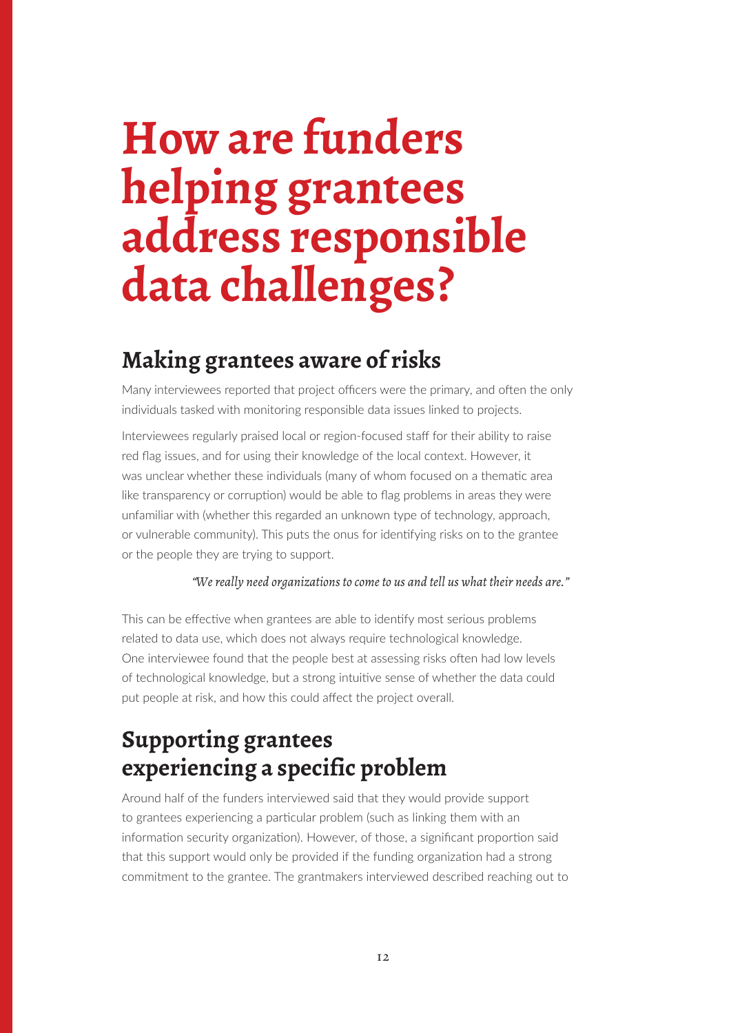## <span id="page-11-0"></span>**How are funders helping grantees address responsible data challenges?**

### **Making grantees aware of risks**

Many interviewees reported that project officers were the primary, and often the only individuals tasked with monitoring responsible data issues linked to projects.

Interviewees regularly praised local or region-focused staff for their ability to raise red flag issues, and for using their knowledge of the local context. However, it was unclear whether these individuals (many of whom focused on a thematic area like transparency or corruption) would be able to flag problems in areas they were unfamiliar with (whether this regarded an unknown type of technology, approach, or vulnerable community). This puts the onus for identifying risks on to the grantee or the people they are trying to support.

#### *"We really need organizations to come to us and tell us what their needs are."*

This can be effective when grantees are able to identify most serious problems related to data use, which does not always require technological knowledge. One interviewee found that the people best at assessing risks often had low levels of technological knowledge, but a strong intuitive sense of whether the data could put people at risk, and how this could affect the project overall.

## **Supporting grantees experiencing a specific problem**

Around half of the funders interviewed said that they would provide support to grantees experiencing a particular problem (such as linking them with an information security organization). However, of those, a significant proportion said that this support would only be provided if the funding organization had a strong commitment to the grantee. The grantmakers interviewed described reaching out to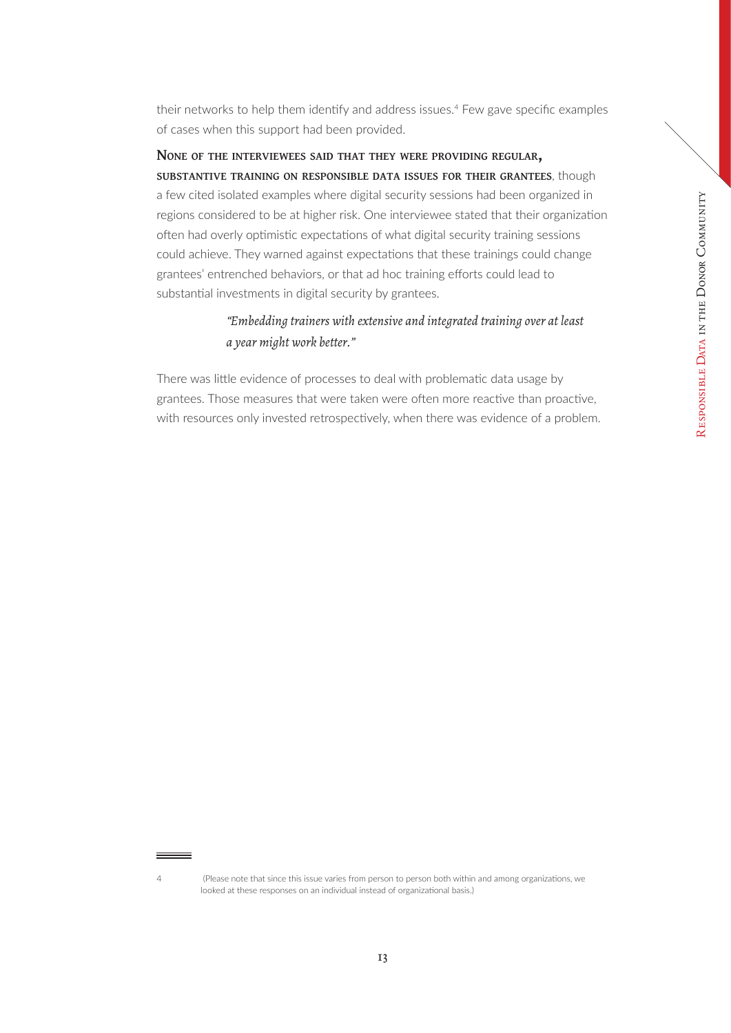their networks to help them identify and address issues.<sup>4</sup> Few gave specific examples of cases when this support had been provided.

**None of the interviewees said that they were providing regular, substantive training on responsible data issues for their grantees**, though a few cited isolated examples where digital security sessions had been organized in regions considered to be at higher risk. One interviewee stated that their organization often had overly optimistic expectations of what digital security training sessions could achieve. They warned against expectations that these trainings could change grantees' entrenched behaviors, or that ad hoc training efforts could lead to substantial investments in digital security by grantees.

#### *"Embedding trainers with extensive and integrated training over at least a year might work better."*

There was little evidence of processes to deal with problematic data usage by grantees. Those measures that were taken were often more reactive than proactive, with resources only invested retrospectively, when there was evidence of a problem.

<sup>4 (</sup>Please note that since this issue varies from person to person both within and among organizations, we looked at these responses on an individual instead of organizational basis.)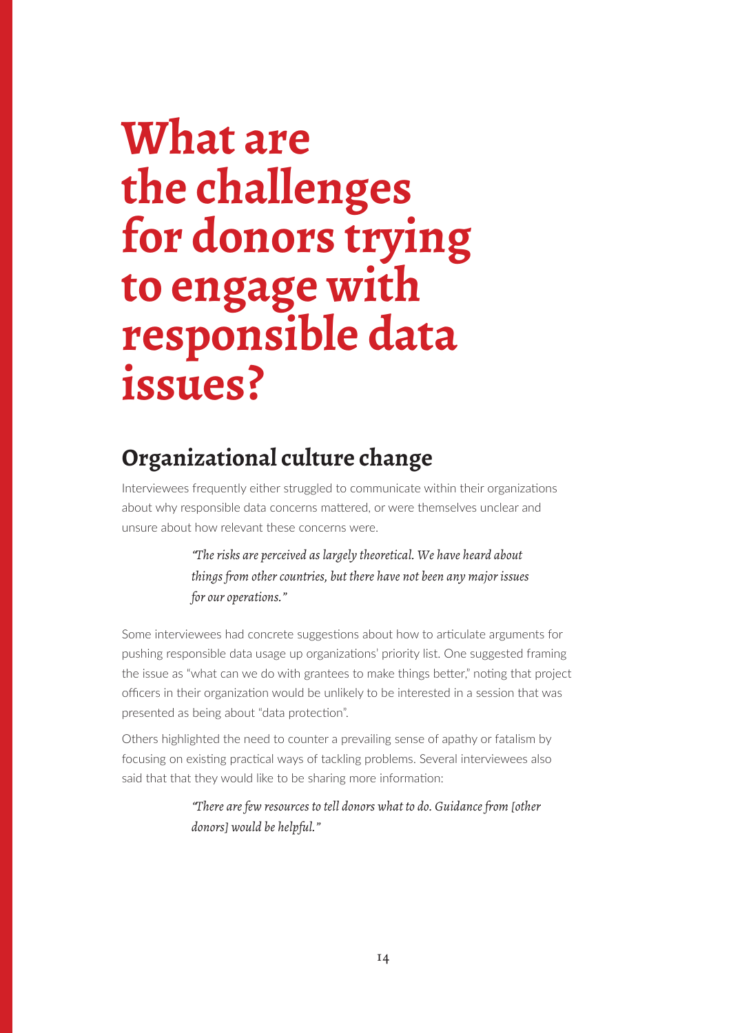## <span id="page-13-0"></span>**What are the challenges for donors trying to engage with responsible data issues?**

## **Organizational culture change**

Interviewees frequently either struggled to communicate within their organizations about why responsible data concerns mattered, or were themselves unclear and unsure about how relevant these concerns were.

> *"The risks are perceived as largely theoretical. We have heard about things from other countries, but there have not been any major issues for our operations."*

Some interviewees had concrete suggestions about how to articulate arguments for pushing responsible data usage up organizations' priority list. One suggested framing the issue as "what can we do with grantees to make things better," noting that project officers in their organization would be unlikely to be interested in a session that was presented as being about "data protection".

Others highlighted the need to counter a prevailing sense of apathy or fatalism by focusing on existing practical ways of tackling problems. Several interviewees also said that that they would like to be sharing more information:

> *"There are few resources to tell donors what to do. Guidance from [other donors] would be helpful."*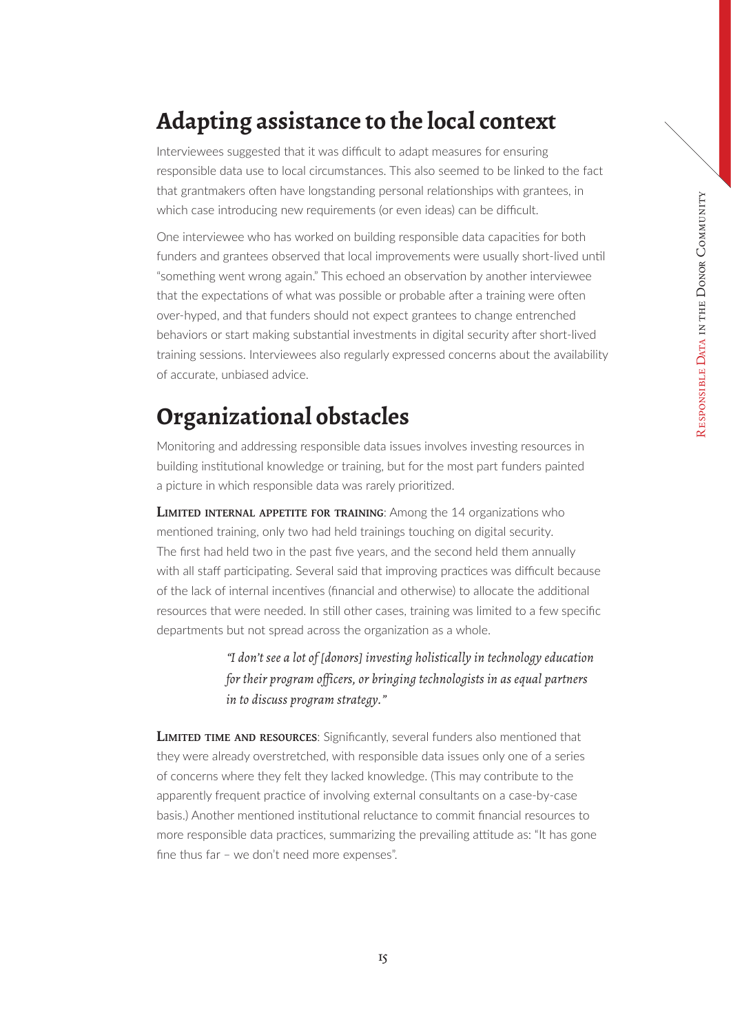## <span id="page-14-0"></span>**Adapting assistance to the local context**

Interviewees suggested that it was difficult to adapt measures for ensuring responsible data use to local circumstances. This also seemed to be linked to the fact that grantmakers often have longstanding personal relationships with grantees, in which case introducing new requirements (or even ideas) can be difficult.

One interviewee who has worked on building responsible data capacities for both funders and grantees observed that local improvements were usually short-lived until "something went wrong again." This echoed an observation by another interviewee that the expectations of what was possible or probable after a training were often over-hyped, and that funders should not expect grantees to change entrenched behaviors or start making substantial investments in digital security after short-lived training sessions. Interviewees also regularly expressed concerns about the availability of accurate, unbiased advice.

## **Organizational obstacles**

Monitoring and addressing responsible data issues involves investing resources in building institutional knowledge or training, but for the most part funders painted a picture in which responsible data was rarely prioritized.

**LIMITED INTERNAL APPETITE FOR TRAINING:** Among the 14 organizations who mentioned training, only two had held trainings touching on digital security. The first had held two in the past five years, and the second held them annually with all staff participating. Several said that improving practices was difficult because of the lack of internal incentives (financial and otherwise) to allocate the additional resources that were needed. In still other cases, training was limited to a few specific departments but not spread across the organization as a whole.

> *"I don't see a lot of [donors] investing holistically in technology education for their program officers, or bringing technologists in as equal partners in to discuss program strategy."*

**LIMITED TIME AND RESOURCES:** Significantly, several funders also mentioned that they were already overstretched, with responsible data issues only one of a series of concerns where they felt they lacked knowledge. (This may contribute to the apparently frequent practice of involving external consultants on a case-by-case basis.) Another mentioned institutional reluctance to commit financial resources to more responsible data practices, summarizing the prevailing attitude as: "It has gone fine thus far – we don't need more expenses".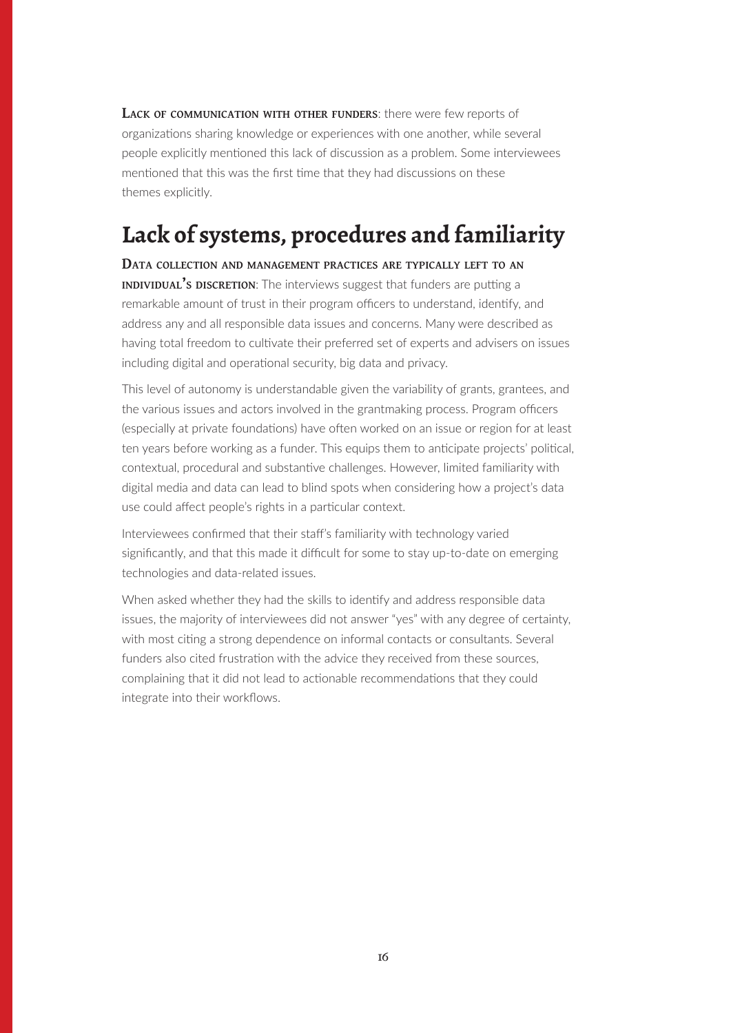<span id="page-15-0"></span>**Lack of communication with other funders**: there were few reports of organizations sharing knowledge or experiences with one another, while several people explicitly mentioned this lack of discussion as a problem. Some interviewees mentioned that this was the first time that they had discussions on these themes explicitly.

## **Lack of systems, procedures and familiarity**

**Data collection and management practices are typically left to an INDIVIDUAL'S DISCRETION:** The interviews suggest that funders are putting a remarkable amount of trust in their program officers to understand, identify, and address any and all responsible data issues and concerns. Many were described as having total freedom to cultivate their preferred set of experts and advisers on issues including digital and operational security, big data and privacy.

This level of autonomy is understandable given the variability of grants, grantees, and the various issues and actors involved in the grantmaking process. Program officers (especially at private foundations) have often worked on an issue or region for at least ten years before working as a funder. This equips them to anticipate projects' political, contextual, procedural and substantive challenges. However, limited familiarity with digital media and data can lead to blind spots when considering how a project's data use could affect people's rights in a particular context.

Interviewees confirmed that their staff's familiarity with technology varied significantly, and that this made it difficult for some to stay up-to-date on emerging technologies and data-related issues.

When asked whether they had the skills to identify and address responsible data issues, the majority of interviewees did not answer "yes" with any degree of certainty, with most citing a strong dependence on informal contacts or consultants. Several funders also cited frustration with the advice they received from these sources, complaining that it did not lead to actionable recommendations that they could integrate into their workflows.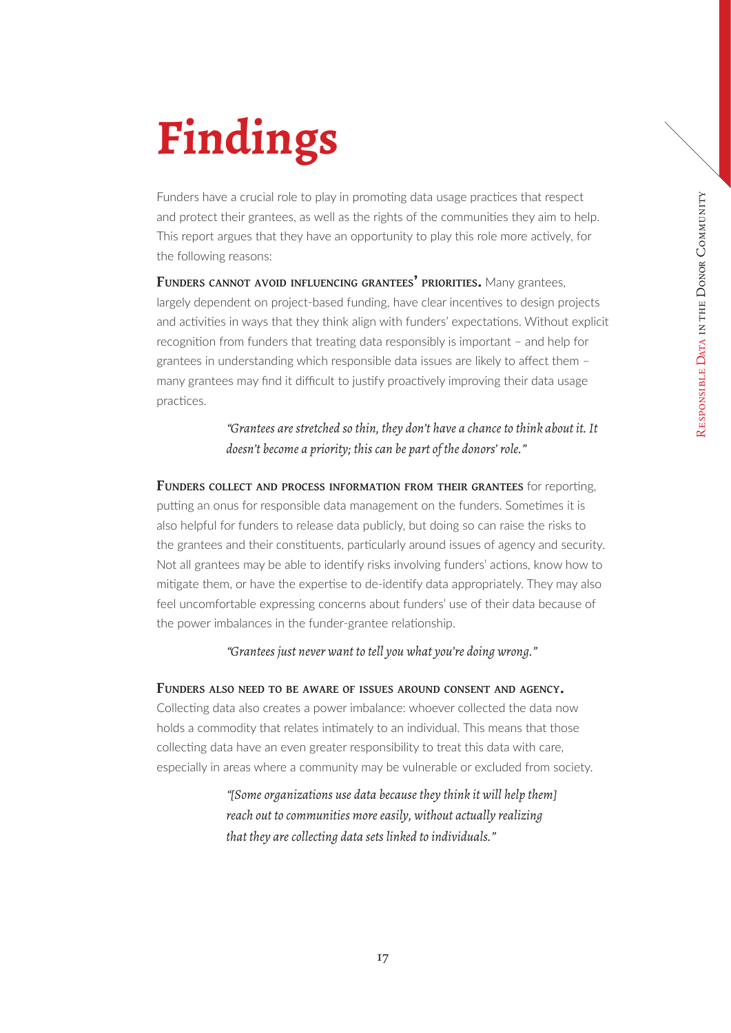## <span id="page-16-0"></span>**Findings**

Funders have a crucial role to play in promoting data usage practices that respect and protect their grantees, as well as the rights of the communities they aim to help. This report argues that they have an opportunity to play this role more actively, for the following reasons:

**Funders cannot avoid influencing grantees' priorities.** Many grantees, largely dependent on project-based funding, have clear incentives to design projects and activities in ways that they think align with funders' expectations. Without explicit recognition from funders that treating data responsibly is important – and help for grantees in understanding which responsible data issues are likely to affect them – many grantees may find it difficult to justify proactively improving their data usage practices.

> *"Grantees are stretched so thin, they don't have a chance to think about it. It doesn't become a priority; this can be part of the donors' role."*

**Funders collect and process information from their grantees** for reporting, putting an onus for responsible data management on the funders. Sometimes it is also helpful for funders to release data publicly, but doing so can raise the risks to the grantees and their constituents, particularly around issues of agency and security. Not all grantees may be able to identify risks involving funders' actions, know how to mitigate them, or have the expertise to de-identify data appropriately. They may also feel uncomfortable expressing concerns about funders' use of their data because of the power imbalances in the funder-grantee relationship.

*"Grantees just never want to tell you what you're doing wrong."*

**Funders also need to be aware of issues around consent and agency.**

Collecting data also creates a power imbalance: whoever collected the data now holds a commodity that relates intimately to an individual. This means that those collecting data have an even greater responsibility to treat this data with care, especially in areas where a community may be vulnerable or excluded from society.

> *"[Some organizations use data because they think it will help them] reach out to communities more easily, without actually realizing that they are collecting data sets linked to individuals."*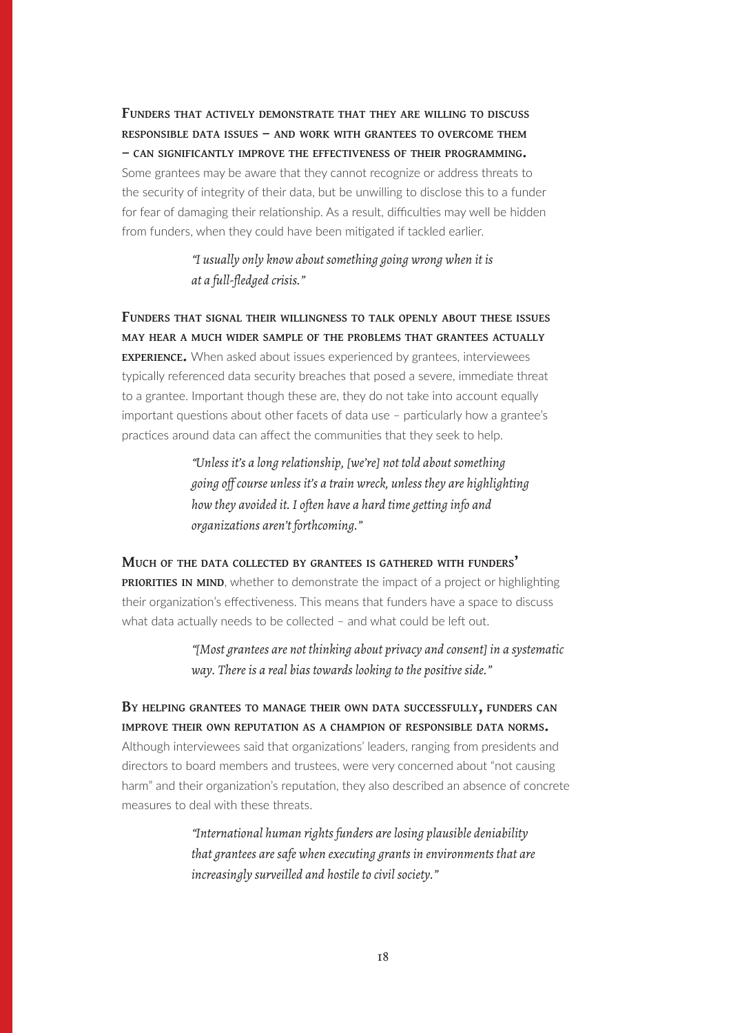**Funders that actively demonstrate that they are willing to discuss responsible data issues – and work with grantees to overcome them – can significantly improve the effectiveness of their programming.** Some grantees may be aware that they cannot recognize or address threats to

the security of integrity of their data, but be unwilling to disclose this to a funder for fear of damaging their relationship. As a result, difficulties may well be hidden from funders, when they could have been mitigated if tackled earlier.

> *"I usually only know about something going wrong when it is at a full-fledged crisis."*

**Funders that signal their willingness to talk openly about these issues may hear a much wider sample of the problems that grantees actually experience.** When asked about issues experienced by grantees, interviewees typically referenced data security breaches that posed a severe, immediate threat to a grantee. Important though these are, they do not take into account equally important questions about other facets of data use – particularly how a grantee's practices around data can affect the communities that they seek to help.

> *"Unless it's a long relationship, [we're] not told about something going off course unless it's a train wreck, unless they are highlighting how they avoided it. I often have a hard time getting info and organizations aren't forthcoming."*

**Much of the data collected by grantees is gathered with funders' PRIORITIES IN MIND**, whether to demonstrate the impact of a project or highlighting their organization's effectiveness. This means that funders have a space to discuss what data actually needs to be collected – and what could be left out.

> *"[Most grantees are not thinking about privacy and consent] in a systematic way. There is a real bias towards looking to the positive side."*

**By helping grantees to manage their own data successfully, funders can improve their own reputation as a champion of responsible data norms.** Although interviewees said that organizations' leaders, ranging from presidents and directors to board members and trustees, were very concerned about "not causing harm" and their organization's reputation, they also described an absence of concrete measures to deal with these threats.

> *"International human rights funders are losing plausible deniability that grantees are safe when executing grants in environments that are increasingly surveilled and hostile to civil society."*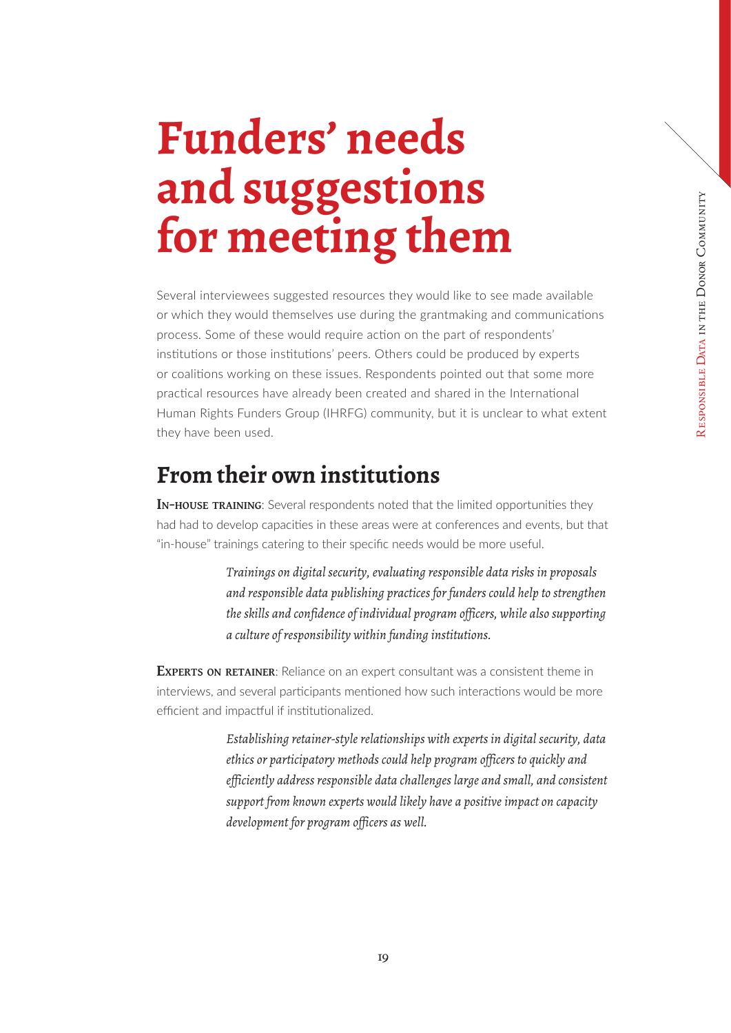## <span id="page-18-0"></span>**Funders' needs and suggestions for meeting them**

Several interviewees suggested resources they would like to see made available or which they would themselves use during the grantmaking and communications process. Some of these would require action on the part of respondents' institutions or those institutions' peers. Others could be produced by experts or coalitions working on these issues. Respondents pointed out that some more practical resources have already been created and shared in the International Human Rights Funders Group (IHRFG) community, but it is unclear to what extent they have been used.

## **From their own institutions**

**In-house training**: Several respondents noted that the limited opportunities they had had to develop capacities in these areas were at conferences and events, but that "in-house" trainings catering to their specific needs would be more useful.

> *Trainings on digital security, evaluating responsible data risks in proposals and responsible data publishing practices for funders could help to strengthen the skills and confidence of individual program officers, while also supporting a culture of responsibility within funding institutions.*

**EXPERTS ON RETAINER:** Reliance on an expert consultant was a consistent theme in interviews, and several participants mentioned how such interactions would be more efficient and impactful if institutionalized.

> *Establishing retainer-style relationships with experts in digital security, data ethics or participatory methods could help program officers to quickly and efficiently address responsible data challenges large and small, and consistent support from known experts would likely have a positive impact on capacity development for program officers as well.*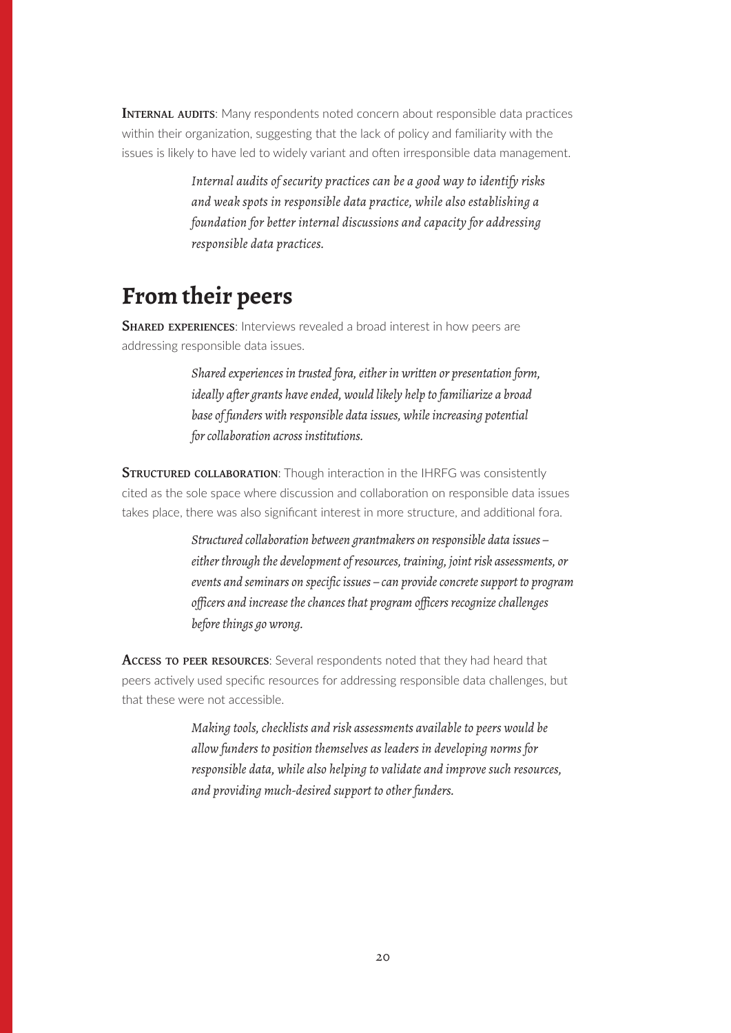<span id="page-19-0"></span>**INTERNAL AUDITS:** Many respondents noted concern about responsible data practices within their organization, suggesting that the lack of policy and familiarity with the issues is likely to have led to widely variant and often irresponsible data management.

> *Internal audits of security practices can be a good way to identify risks and weak spots in responsible data practice, while also establishing a foundation for better internal discussions and capacity for addressing responsible data practices.*

## **From their peers**

**SHARED EXPERIENCES:** Interviews revealed a broad interest in how peers are addressing responsible data issues.

> *Shared experiences in trusted fora, either in written or presentation form, ideally after grants have ended, would likely help to familiarize a broad base of funders with responsible data issues, while increasing potential for collaboration across institutions.*

**STRUCTURED COLLABORATION:** Though interaction in the IHRFG was consistently cited as the sole space where discussion and collaboration on responsible data issues takes place, there was also significant interest in more structure, and additional fora.

> *Structured collaboration between grantmakers on responsible data issues – either through the development of resources, training, joint risk assessments, or events and seminars on specific issues – can provide concrete support to program officers and increase the chances that program officers recognize challenges before things go wrong.*

**Access to peer resources**: Several respondents noted that they had heard that peers actively used specific resources for addressing responsible data challenges, but that these were not accessible.

> *Making tools, checklists and risk assessments available to peers would be allow funders to position themselves as leaders in developing norms for responsible data, while also helping to validate and improve such resources, and providing much-desired support to other funders.*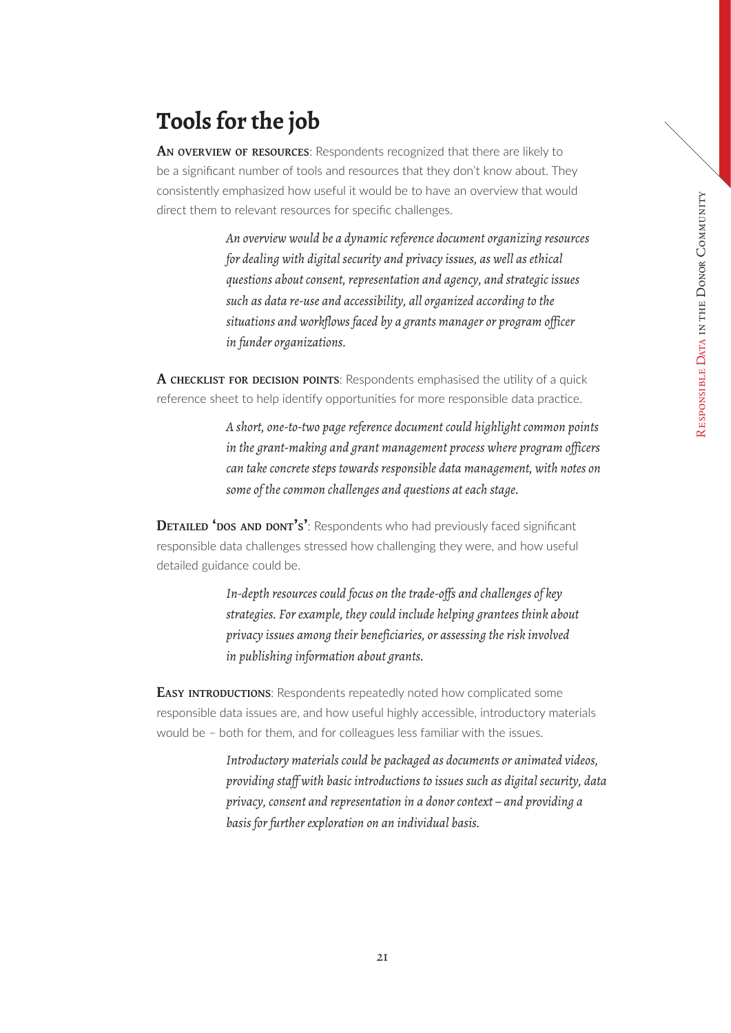## <span id="page-20-0"></span>**Tools for the job**

**An overview of resources**: Respondents recognized that there are likely to be a significant number of tools and resources that they don't know about. They consistently emphasized how useful it would be to have an overview that would direct them to relevant resources for specific challenges.

> *An overview would be a dynamic reference document organizing resources for dealing with digital security and privacy issues, as well as ethical questions about consent, representation and agency, and strategic issues such as data re-use and accessibility, all organized according to the situations and workflows faced by a grants manager or program officer in funder organizations.*

**A checklist for decision points**: Respondents emphasised the utility of a quick reference sheet to help identify opportunities for more responsible data practice.

> *A short, one-to-two page reference document could highlight common points in the grant-making and grant management process where program officers can take concrete steps towards responsible data management, with notes on some of the common challenges and questions at each stage.*

**DETAILED 'DOS AND DONT'S':** Respondents who had previously faced significant responsible data challenges stressed how challenging they were, and how useful detailed guidance could be.

> *In-depth resources could focus on the trade-offs and challenges of key strategies. For example, they could include helping grantees think about privacy issues among their beneficiaries, or assessing the risk involved in publishing information about grants.*

**EASY INTRODUCTIONS:** Respondents repeatedly noted how complicated some responsible data issues are, and how useful highly accessible, introductory materials would be – both for them, and for colleagues less familiar with the issues.

> *Introductory materials could be packaged as documents or animated videos, providing staff with basic introductions to issues such as digital security, data privacy, consent and representation in a donor context – and providing a basis for further exploration on an individual basis.*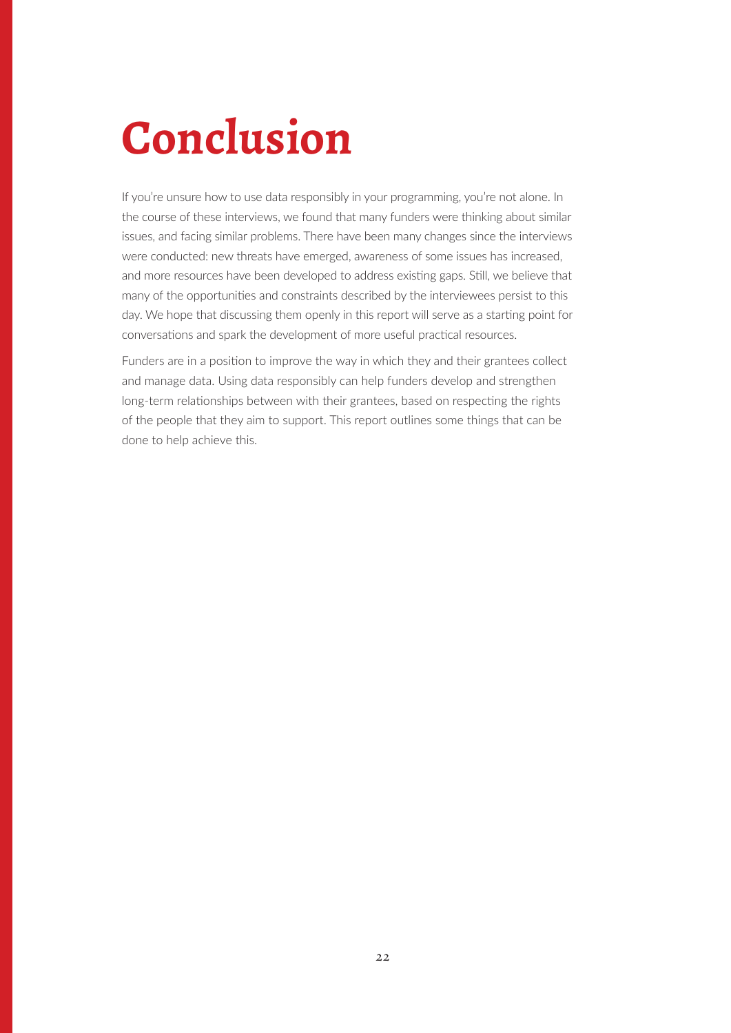## <span id="page-21-0"></span>**Conclusion**

If you're unsure how to use data responsibly in your programming, you're not alone. In the course of these interviews, we found that many funders were thinking about similar issues, and facing similar problems. There have been many changes since the interviews were conducted: new threats have emerged, awareness of some issues has increased, and more resources have been developed to address existing gaps. Still, we believe that many of the opportunities and constraints described by the interviewees persist to this day. We hope that discussing them openly in this report will serve as a starting point for conversations and spark the development of more useful practical resources.

Funders are in a position to improve the way in which they and their grantees collect and manage data. Using data responsibly can help funders develop and strengthen long-term relationships between with their grantees, based on respecting the rights of the people that they aim to support. This report outlines some things that can be done to help achieve this.